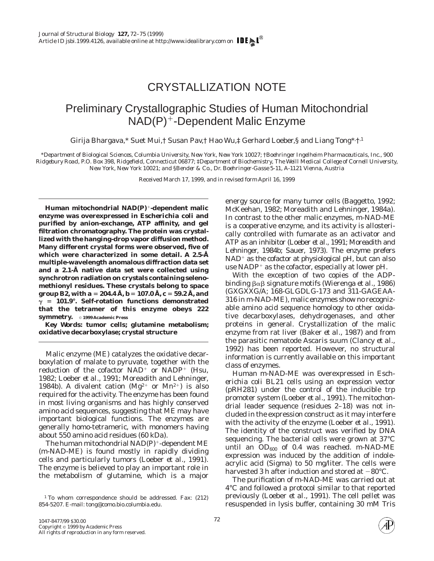## CRYSTALLIZATION NOTE

## Preliminary Crystallographic Studies of Human Mitochondrial  $NAD(P)^+$ -Dependent Malic Enzyme

Girija Bhargava,\* Suet Mui,† Susan Pav,† Hao Wu,‡ Gerhard Loeber,§ and Liang Tong\*<sup>,†.1</sup>

*\*Department of Biological Sciences, Columbia University, New York, New York 10027; †Boehringer Ingelheim Pharmaceuticals, Inc., 900 Ridgebury Road, P.O. Box 398, Ridgefield, Connecticut 06877; ‡Department of Biochemistry, The Weill Medical College of Cornell University, New York, New York 10021; and §Bender & Co., Dr. Boehringer-Gasse 5-11, A-1121 Vienna, Austria*

Received March 17, 1999, and in revised form April 16, 1999

**Human mitochondrial NAD(P)**<sup>1</sup>**-dependent malic enzyme was overexpressed in** *Escherichia coli* **and purified by anion-exchange, ATP affinity, and gel filtration chromatography. The protein was crystallized with the hanging-drop vapor diffusion method. Many different crystal forms were observed, five of which were characterized in some detail. A 2.5-Å multiple-wavelength anomalous diffraction data set and a 2.1-Å native data set were collected using synchrotron radiation on crystals containing selenomethionyl residues. These crystals belong to space group** *B*<sup>2</sup>, with  $a = 204.4 \text{ Å}, b = 107.0 \text{ Å}, c = 59.2 \text{ Å}, \text{and}$  $\gamma$  = 101.9°. Self-rotation functions demonstrated **that the tetramer of this enzyme obeys 222 symmetry.** © 1999 Academic Press

*Key Words:* **tumor cells; glutamine metabolism; oxidative decarboxylase; crystal structure**

Malic enzyme (ME) catalyzes the oxidative decarboxylation of malate to pyruvate, together with the reduction of the cofactor  $NAD^+$  or  $NADP^+$  (Hsu, 1982; Loeber *et al.,* 1991; Moreadith and Lehninger, 1984b). A divalent cation ( $Mg^{2+}$  or  $Mn^{2+}$ ) is also required for the activity. The enzyme has been found in most living organisms and has highly conserved amino acid sequences, suggesting that ME may have important biological functions. The enzymes are generally homo-tetrameric, with monomers having about 550 amino acid residues (60 kDa).

The human mitochondrial  $NAD(P)^+$ -dependent ME (m-NAD-ME) is found mostly in rapidly dividing cells and particularly tumors (Loeber *et al.,* 1991). The enzyme is believed to play an important role in the metabolism of glutamine, which is a major energy source for many tumor cells (Baggetto, 1992; McKeehan, 1982; Moreadith and Lehninger, 1984a). In contrast to the other malic enzymes, m-NAD-ME is a cooperative enzyme, and its activity is allosterically controlled with fumarate as an activator and ATP as an inhibitor (Loeber *et al.,* 1991; Moreadith and Lehninger, 1984b; Sauer, 1973). The enzyme prefers  $NAD<sup>+</sup>$  as the cofactor at physiological pH, but can also use  $NADP<sup>+</sup>$  as the cofactor, especially at lower pH.

With the exception of two copies of the ADPbinding βαβ signature motifs (Wierenga *et al.,* 1986) (GXGXXG/A; 168-GLGDLG-173 and 311-GAGEAA-316 in m-NAD-ME), malic enzymes show no recognizable amino acid sequence homology to other oxidative decarboxylases, dehydrogenases, and other proteins in general. Crystallization of the malic enzyme from rat liver (Baker *et al.,* 1987) and from the parasitic nematode *Ascaris suum* (Clancy *et al.,* 1992) has been reported. However, no structural information is currently available on this important class of enzymes.

Human m-NAD-ME was overexpressed in *Escherichia coli* BL21 cells using an expression vector (pRH281) under the control of the inducible trp promoter system (Loeber *et al.,* 1991). The mitochondrial leader sequence (residues 2–18) was not included in the expression construct as it may interfere with the activity of the enzyme (Loeber *et al.,* 1991). The identity of the construct was verified by DNA sequencing. The bacterial cells were grown at 37°C until an  $OD_{600}$  of 0.4 was reached. m-NAD-ME expression was induced by the addition of indoleacrylic acid (Sigma) to 50 mg/liter. The cells were harvested 3 h after induction and stored at  $-80^{\circ}$ C.

The purification of m-NAD-ME was carried out at 4°C and followed a protocol similar to that reported previously (Loeber *et al.,* 1991). The cell pellet was resuspended in lysis buffer, containing 30 mM Tris



<sup>&</sup>lt;sup>1</sup> To whom correspondence should be addressed. Fax: (212) 854-5207. E-mail: tong@como.bio.columbia.edu.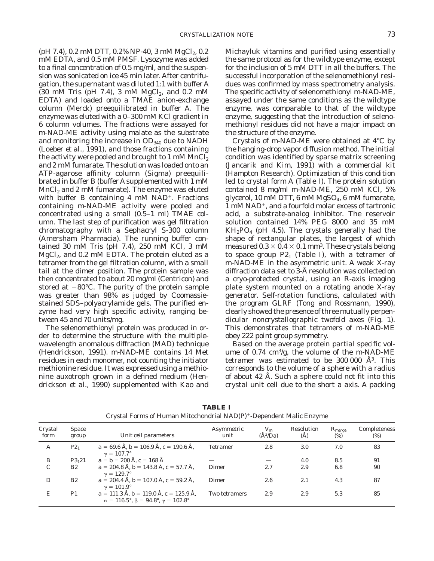(pH 7.4), 0.2 mM DTT, 0.2% NP-40, 3 mM  $MgCl_2$ , 0.2 mM EDTA, and 0.5 mM PMSF. Lysozyme was added to a final concentration of 0.5 mg/ml, and the suspension was sonicated on ice 45 min later. After centrifugation, the supernatant was diluted 1:1 with buffer A (30 mM Tris (pH 7.4), 3 mM  $MgCl<sub>2</sub>$ , and 0.2 mM EDTA) and loaded onto a TMAE anion-exchange column (Merck) preequilibrated in buffer A. The enzyme was eluted with a 0–300 mM KCl gradient in 6 column volumes. The fractions were assayed for m-NAD-ME activity using malate as the substrate and monitoring the increase in  $OD<sub>340</sub>$  due to NADH (Loeber *et al.,* 1991), and those fractions containing the activity were pooled and brought to 1 mM  $MnCl<sub>2</sub>$ and 2 mM fumarate. The solution was loaded onto an ATP-agarose affinity column (Sigma) preequilibrated in buffer B (buffer A supplemented with 1 mM  $MnCl<sub>2</sub>$  and 2 mM fumarate). The enzyme was eluted with buffer B containing  $4 \text{ mM NAD}^+$ . Fractions containing m-NAD-ME activity were pooled and concentrated using a small (0.5–1 ml) TMAE column. The last step of purification was gel filtration chromatography with a Sephacryl S-300 column (Amersham Pharmacia). The running buffer contained 30 mM Tris (pH 7.4), 250 mM KCl, 3 mM  $MgCl<sub>2</sub>$ , and 0.2 mM EDTA. The protein eluted as a tetramer from the gel filtration column, with a small tail at the dimer position. The protein sample was then concentrated to about 20 mg/ml (Centricon) and stored at  $-80^{\circ}$ C. The purity of the protein sample was greater than 98% as judged by Coomassiestained SDS–polyacrylamide gels. The purified enzyme had very high specific activity, ranging between 45 and 70 units/mg.

The selenomethionyl protein was produced in order to determine the structure with the multiplewavelength anomalous diffraction (MAD) technique (Hendrickson, 1991). m-NAD-ME contains 14 Met residues in each monomer, not counting the initiator methionine residue. It was expressed using a methionine auxotroph grown in a defined medium (Hendrickson *et al.,* 1990) supplemented with Kao and Michayluk vitamins and purified using essentially the same protocol as for the wildtype enzyme, except for the inclusion of 5 mM DTT in all the buffers. The successful incorporation of the selenomethionyl residues was confirmed by mass spectrometry analysis. The specific activity of selenomethionyl m-NAD-ME, assayed under the same conditions as the wildtype enzyme, was comparable to that of the wildtype enzyme, suggesting that the introduction of selenomethionyl residues did not have a major impact on the structure of the enzyme.

Crystals of m-NAD-ME were obtained at 4°C by the hanging-drop vapor diffusion method. The initial condition was identified by sparse matrix screening (Jancarik and Kim, 1991) with a commercial kit (Hampton Research). Optimization of this condition led to crystal form A (Table I). The protein solution contained 8 mg/ml m-NAD-ME, 250 mM KCl, 5% glycerol,  $10 \text{ mM DTT}$ ,  $6 \text{ mM MgSO}_4$ ,  $6 \text{ mM fumarate}$ ,  $1 \text{ mM NAD}^+$ , and a fourfold molar excess of tartronic acid, a substrate-analog inhibitor. The reservoir solution contained 14% PEG 8000 and 35 mM  $KH_2PO_4$  (pH 4.5). The crystals generally had the shape of rectangular plates, the largest of which measured  $0.3 \times 0.4 \times 0.1$  mm<sup>3</sup>. These crystals belong to space group  $P2_1$  (Table I), with a tetramer of m-NAD-ME in the asymmetric unit. A weak X-ray diffraction data set to 3-Å resolution was collected on a cryo-protected crystal, using an R-axis imaging plate system mounted on a rotating anode X-ray generator. Self-rotation functions, calculated with the program GLRF (Tong and Rossmann, 1990), clearly showed the presence of three mutually perpendicular noncrystallographic twofold axes (Fig. 1). This demonstrates that tetramers of m-NAD-ME obey 222 point group symmetry.

Based on the average protein partial specific volume of  $0.74 \text{ cm}^3/\text{g}$ , the volume of the m-NAD-ME tetramer was estimated to be  $300\,000\,$  Å<sup>3</sup>. This corresponds to the volume of a sphere with a radius of about 42 Å. Such a sphere could not fit into this crystal unit cell due to the short *a* axis. A packing

| Crystal<br>form | <b>Space</b><br>group | Unit cell parameters                                                                                                   | Asymmetric<br>unit | $V_{\rm m}$<br>$(\AA^3$ /Da) | Resolution<br>(A) | $R_{\text{merge}}$<br>(%) | Completeness<br>$(\%)$ |
|-----------------|-----------------------|------------------------------------------------------------------------------------------------------------------------|--------------------|------------------------------|-------------------|---------------------------|------------------------|
| A               | $P2_1$                | $a = 69.6$ Å, $b = 106.9$ Å, $c = 190.6$ Å,<br>$v = 107.7^{\circ}$                                                     | <b>Tetramer</b>    | 2.8                          | 3.0               | 7.0                       | 83                     |
| B               | $P3_121$              | $a = b = 200$ Å, $c = 168$ Å                                                                                           |                    |                              | 4.0               | 8.5                       | 91                     |
| С               | B2                    | $a = 204.8$ Å, $b = 143.8$ Å, $c = 57.7$ Å,<br>$v = 129.7^{\circ}$                                                     | Dimer              | 2.7                          | 2.9               | 6.8                       | 90                     |
| D               | B2                    | $a = 204.4$ Å, $b = 107.0$ Å, $c = 59.2$ Å,<br>$v = 101.9^{\circ}$                                                     | Dimer              | 2.6                          | 2.1               | 4.3                       | 87                     |
| Е               | P1                    | $a = 111.3$ Å, $b = 119.0$ Å, $c = 125.9$ Å,<br>$\alpha = 116.5^{\circ}, \beta = 94.8^{\circ}, \gamma = 102.8^{\circ}$ | Two tetramers      | 2.9                          | 2.9               | 5.3                       | 85                     |

**TABLE I** Crystal Forms of Human Mitochondrial  $NAD(P)^+$ -Dependent Malic Enzyme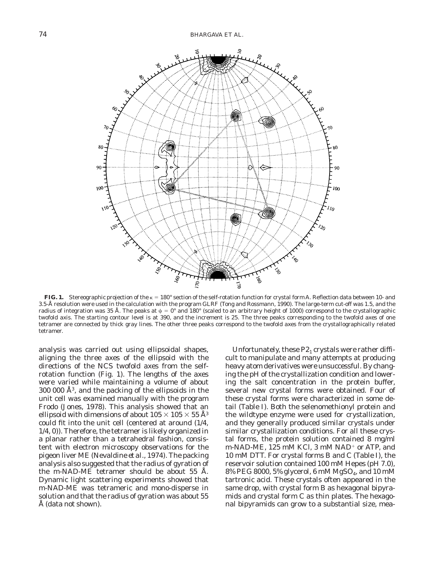

**FIG. 1.** Stereographic projection of the  $\kappa = 180^\circ$  section of the self-rotation function for crystal form A. Reflection data between 10- and 3.5-Å resolution were used in the calculation with the program GLRF (Tong and Rossmann, 1990). The large-term cut-off was 1.5, and the radius of integration was 35 Å. The peaks at  $\psi = 0^{\circ}$  and 180° (scaled to an arbitrary height of 1000) correspond to the crystallographic twofold axis. The starting contour level is at 390, and the increment is 25. The three peaks corresponding to the twofold axes of one tetramer are connected by thick gray lines. The other three peaks correspond to the twofold axes from the crystallographically related tetramer.

analysis was carried out using ellipsoidal shapes, aligning the three axes of the ellipsoid with the directions of the NCS twofold axes from the selfrotation function (Fig. 1). The lengths of the axes were varied while maintaining a volume of about  $300\,000\,\mathrm{\AA}^3$ , and the packing of the ellipsoids in the unit cell was examined manually with the program Frodo (Jones, 1978). This analysis showed that an ellipsoid with dimensions of about  $105 \times 105 \times 55$  Å<sup>3</sup> could fit into the unit cell (centered at around (1/4, 1/4, 0)). Therefore, the tetramer is likely organized in a planar rather than a tetrahedral fashion, consistent with electron microscopy observations for the pigeon liver ME (Nevaldine *et al.,* 1974). The packing analysis also suggested that the radius of gyration of the m-NAD-ME tetramer should be about 55 Å. Dynamic light scattering experiments showed that m-NAD-ME was tetrameric and mono-disperse in solution and that the radius of gyration was about 55 Å (data not shown).

Unfortunately, these  $P2<sub>1</sub>$  crystals were rather difficult to manipulate and many attempts at producing heavy atom derivatives were unsuccessful. By changing the pH of the crystallization condition and lowering the salt concentration in the protein buffer, several new crystal forms were obtained. Four of these crystal forms were characterized in some detail (Table I). Both the selenomethionyl protein and the wildtype enzyme were used for crystallization, and they generally produced similar crystals under similar crystallization conditions. For all these crystal forms, the protein solution contained 8 mg/ml m-NAD-ME, 125 mM KCl, 3 mM NAD<sup>+</sup> or ATP, and 10 mM DTT. For crystal forms B and C (Table I), the reservoir solution contained 100 mM Hepes (pH 7.0), 8% PEG 8000, 5% glycerol, 6 mM MgSO4, and 10 mM tartronic acid. These crystals often appeared in the same drop, with crystal form B as hexagonal bipyramids and crystal form C as thin plates. The hexagonal bipyramids can grow to a substantial size, mea